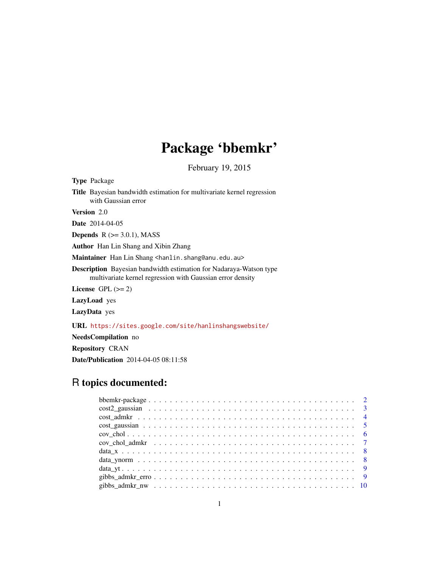# Package 'bbemkr'

February 19, 2015

<span id="page-0-0"></span>

| <b>Type</b> Package                                                                                                                     |
|-----------------------------------------------------------------------------------------------------------------------------------------|
| <b>Title</b> Bayesian bandwidth estimation for multivariate kernel regression<br>with Gaussian error                                    |
| <b>Version</b> 2.0                                                                                                                      |
| <b>Date</b> 2014-04-05                                                                                                                  |
| <b>Depends</b> $R (= 3.0.1)$ , MASS                                                                                                     |
| <b>Author</b> Han Lin Shang and Xibin Zhang                                                                                             |
| <b>Maintainer</b> Han Lin Shang <han1in.shang@anu.edu.au></han1in.shang@anu.edu.au>                                                     |
| <b>Description</b> Bayesian bandwidth estimation for Nadaraya-Watson type<br>multivariate kernel regression with Gaussian error density |
| License $GPL (= 2)$                                                                                                                     |
| <b>LazyLoad</b> yes                                                                                                                     |
| <b>LazyData</b> yes                                                                                                                     |
| <b>URL</b> https://sites.google.com/site/hanlinshangswebsite/                                                                           |

NeedsCompilation no

Repository CRAN

Date/Publication 2014-04-05 08:11:58

# R topics documented: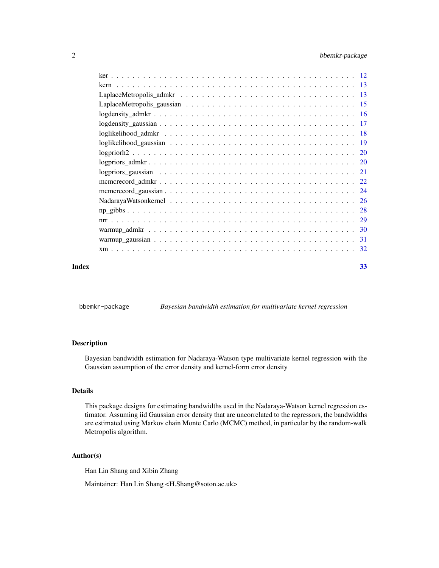# <span id="page-1-0"></span>2 bbemkr-package

|       | $log density_a$ adm kr $\ldots \ldots \ldots \ldots \ldots \ldots \ldots \ldots \ldots \ldots \ldots \ldots$ |    |
|-------|--------------------------------------------------------------------------------------------------------------|----|
|       |                                                                                                              |    |
|       |                                                                                                              |    |
|       |                                                                                                              |    |
|       |                                                                                                              |    |
|       |                                                                                                              |    |
|       |                                                                                                              |    |
|       |                                                                                                              |    |
|       |                                                                                                              |    |
|       |                                                                                                              |    |
|       |                                                                                                              |    |
|       |                                                                                                              |    |
|       |                                                                                                              |    |
|       |                                                                                                              |    |
|       |                                                                                                              |    |
| Index |                                                                                                              | 33 |

bbemkr-package *Bayesian bandwidth estimation for multivariate kernel regression*

# Description

Bayesian bandwidth estimation for Nadaraya-Watson type multivariate kernel regression with the Gaussian assumption of the error density and kernel-form error density

# Details

This package designs for estimating bandwidths used in the Nadaraya-Watson kernel regression estimator. Assuming iid Gaussian error density that are uncorrelated to the regressors, the bandwidths are estimated using Markov chain Monte Carlo (MCMC) method, in particular by the random-walk Metropolis algorithm.

#### Author(s)

Han Lin Shang and Xibin Zhang

Maintainer: Han Lin Shang <H.Shang@soton.ac.uk>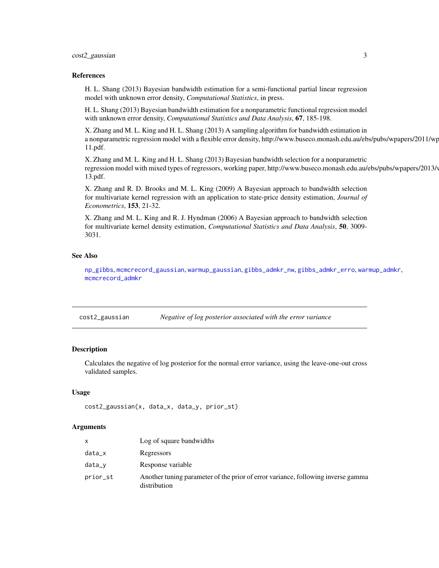# <span id="page-2-0"></span>cost2\_gaussian 3

#### References

H. L. Shang (2013) Bayesian bandwidth estimation for a semi-functional partial linear regression model with unknown error density, *Computational Statistics*, in press.

H. L. Shang (2013) Bayesian bandwidth estimation for a nonparametric functional regression model with unknown error density, *Computational Statistics and Data Analysis*, 67, 185-198.

X. Zhang and M. L. King and H. L. Shang (2013) A sampling algorithm for bandwidth estimation in a nonparametric regression model with a flexible error density, http://www.buseco.monash.edu.au/ebs/pubs/wpapers/2011/wp 11.pdf.

X. Zhang and M. L. King and H. L. Shang (2013) Bayesian bandwidth selection for a nonparametric regression model with mixed types of regressors, working paper, http://www.buseco.monash.edu.au/ebs/pubs/wpapers/2013/ 13.pdf.

X. Zhang and R. D. Brooks and M. L. King (2009) A Bayesian approach to bandwidth selection for multivariate kernel regression with an application to state-price density estimation, *Journal of Econometrics*, 153, 21-32.

X. Zhang and M. L. King and R. J. Hyndman (2006) A Bayesian approach to bandwidth selection for multivariate kernel density estimation, *Computational Statistics and Data Analysis*, 50, 3009- 3031.

# See Also

[np\\_gibbs](#page-27-1), [mcmcrecord\\_gaussian](#page-23-1), [warmup\\_gaussian](#page-30-1), [gibbs\\_admkr\\_nw](#page-9-1), [gibbs\\_admkr\\_erro](#page-8-1), [warmup\\_admkr](#page-29-1), [mcmcrecord\\_admkr](#page-21-1)

<span id="page-2-1"></span>cost2\_gaussian *Negative of log posterior associated with the error variance*

#### Description

Calculates the negative of log posterior for the normal error variance, using the leave-one-out cross validated samples.

#### Usage

```
cost2_gaussian(x, data_x, data_y, prior_st)
```

| x        | Log of square bandwidths                                                                         |
|----------|--------------------------------------------------------------------------------------------------|
| data_x   | Regressors                                                                                       |
| $data_v$ | Response variable                                                                                |
| prior_st | Another tuning parameter of the prior of error variance, following inverse gamma<br>distribution |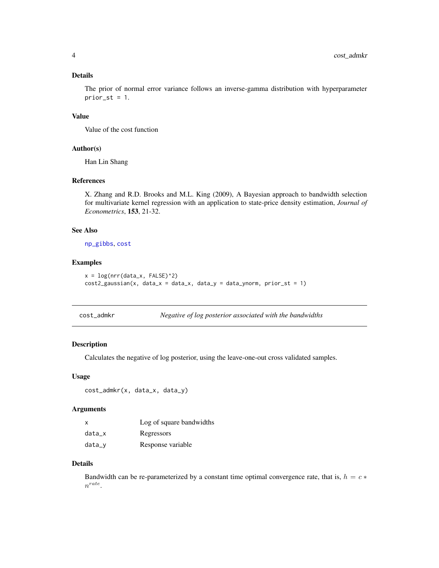# <span id="page-3-0"></span>Details

The prior of normal error variance follows an inverse-gamma distribution with hyperparameter  $prior_st = 1$ .

#### Value

Value of the cost function

# Author(s)

Han Lin Shang

# References

X. Zhang and R.D. Brooks and M.L. King (2009), A Bayesian approach to bandwidth selection for multivariate kernel regression with an application to state-price density estimation, *Journal of Econometrics*, 153, 21-32.

# See Also

[np\\_gibbs](#page-27-1), [cost](#page-0-0)

# Examples

```
x = \log(nrr(data_x, FALSE)^2)cost2_gaussian(x, data_x = data_x, data_y = data_y) = data_ynorm, prior_st = 1)
```

| cost_admkr |  | Negative of log posterior associated with the bandwidths |  |
|------------|--|----------------------------------------------------------|--|
|------------|--|----------------------------------------------------------|--|

#### Description

Calculates the negative of log posterior, using the leave-one-out cross validated samples.

#### Usage

```
cost_admkr(x, data_x, data_y)
```
#### Arguments

| x        | Log of square bandwidths |
|----------|--------------------------|
| data x   | Regressors               |
| $data_v$ | Response variable        |

#### Details

Bandwidth can be re-parameterized by a constant time optimal convergence rate, that is,  $h = c *$  $n^{rate}$ .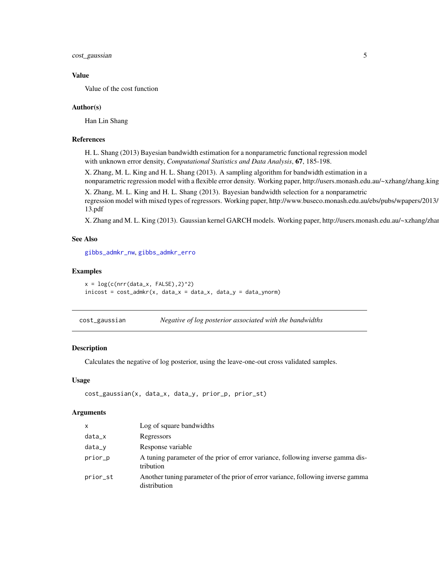<span id="page-4-0"></span>cost\_gaussian 5

#### Value

Value of the cost function

#### Author(s)

Han Lin Shang

#### References

H. L. Shang (2013) Bayesian bandwidth estimation for a nonparametric functional regression model with unknown error density, *Computational Statistics and Data Analysis*, 67, 185-198.

X. Zhang, M. L. King and H. L. Shang (2013). A sampling algorithm for bandwidth estimation in a nonparametric regression model with a flexible error density. Working paper, http://users.monash.edu.au/~xzhang/zhang.king

X. Zhang, M. L. King and H. L. Shang (2013). Bayesian bandwidth selection for a nonparametric regression model with mixed types of regressors. Working paper, http://www.buseco.monash.edu.au/ebs/pubs/wpapers/2013/ 13.pdf

X. Zhang and M. L. King (2013). Gaussian kernel GARCH models. Working paper, http://users.monash.edu.au/~xzhang/zhan

# See Also

[gibbs\\_admkr\\_nw](#page-9-1), [gibbs\\_admkr\\_erro](#page-8-1)

#### Examples

 $x = \log(c(nrr(data_x, FALSE), 2)^2)$  $inicost = cost\_admkr(x, data_x = data_x, data_y = data_y)$ 

| cost_gaussian | Negative of log posterior associated with the bandwidths |  |
|---------------|----------------------------------------------------------|--|
|               |                                                          |  |

# Description

Calculates the negative of log posterior, using the leave-one-out cross validated samples.

#### Usage

```
cost_gaussian(x, data_x, data_y, prior_p, prior_st)
```

| X        | Log of square bandwidths                                                                         |
|----------|--------------------------------------------------------------------------------------------------|
| $data_x$ | Regressors                                                                                       |
| $data_y$ | Response variable                                                                                |
| prior_p  | A tuning parameter of the prior of error variance, following inverse gamma dis-<br>tribution     |
| prior_st | Another tuning parameter of the prior of error variance, following inverse gamma<br>distribution |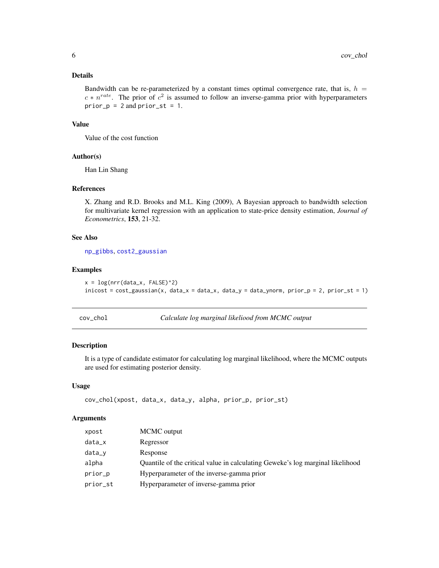# <span id="page-5-0"></span>Details

Bandwidth can be re-parameterized by a constant times optimal convergence rate, that is,  $h =$  $c * n^{rate}$ . The prior of  $c^2$  is assumed to follow an inverse-gamma prior with hyperparameters  $prior_p = 2$  and  $prior_st = 1$ .

#### Value

Value of the cost function

#### Author(s)

Han Lin Shang

# References

X. Zhang and R.D. Brooks and M.L. King (2009), A Bayesian approach to bandwidth selection for multivariate kernel regression with an application to state-price density estimation, *Journal of Econometrics*, 153, 21-32.

# See Also

[np\\_gibbs](#page-27-1), [cost2\\_gaussian](#page-2-1)

#### Examples

```
x = \log(nrr(data_x, FALSE)^2)inicost = cost_gaussian(x, data_x = data_x, data_y = data_ynorm, prior_p = 2, prior_st = 1)
```
cov\_chol *Calculate log marginal likeliood from MCMC output*

#### Description

It is a type of candidate estimator for calculating log marginal likelihood, where the MCMC outputs are used for estimating posterior density.

# Usage

```
cov_chol(xpost, data_x, data_y, alpha, prior_p, prior_st)
```

| xpost    | MCMC output                                                                    |
|----------|--------------------------------------------------------------------------------|
| data_x   | Regressor                                                                      |
| data_y   | Response                                                                       |
| alpha    | Quantile of the critical value in calculating Geweke's log marginal likelihood |
| prior_p  | Hyperparameter of the inverse-gamma prior                                      |
| prior_st | Hyperparameter of inverse-gamma prior                                          |
|          |                                                                                |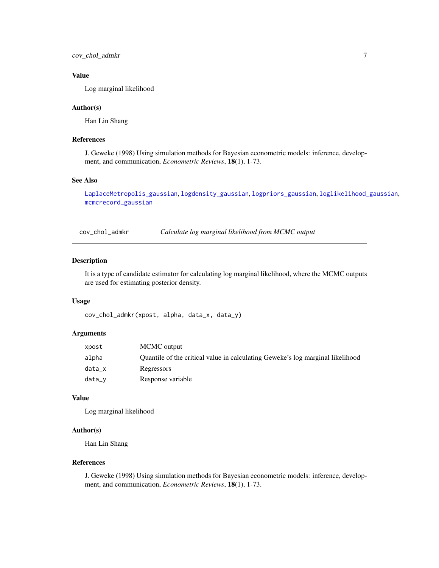<span id="page-6-0"></span>cov\_chol\_admkr 7

# Value

Log marginal likelihood

#### Author(s)

Han Lin Shang

# References

J. Geweke (1998) Using simulation methods for Bayesian econometric models: inference, development, and communication, *Econometric Reviews*, 18(1), 1-73.

# See Also

[LaplaceMetropolis\\_gaussian](#page-14-1), [logdensity\\_gaussian](#page-16-1), [logpriors\\_gaussian](#page-20-1), [loglikelihood\\_gaussian](#page-18-1), [mcmcrecord\\_gaussian](#page-23-1)

cov\_chol\_admkr *Calculate log marginal likelihood from MCMC output*

# Description

It is a type of candidate estimator for calculating log marginal likelihood, where the MCMC outputs are used for estimating posterior density.

#### Usage

cov\_chol\_admkr(xpost, alpha, data\_x, data\_y)

#### Arguments

| xpost  | MCMC output                                                                    |
|--------|--------------------------------------------------------------------------------|
| alpha  | Quantile of the critical value in calculating Geweke's log marginal likelihood |
| data_x | Regressors                                                                     |
| data_v | Response variable                                                              |

#### Value

Log marginal likelihood

# Author(s)

Han Lin Shang

### References

J. Geweke (1998) Using simulation methods for Bayesian econometric models: inference, development, and communication, *Econometric Reviews*, 18(1), 1-73.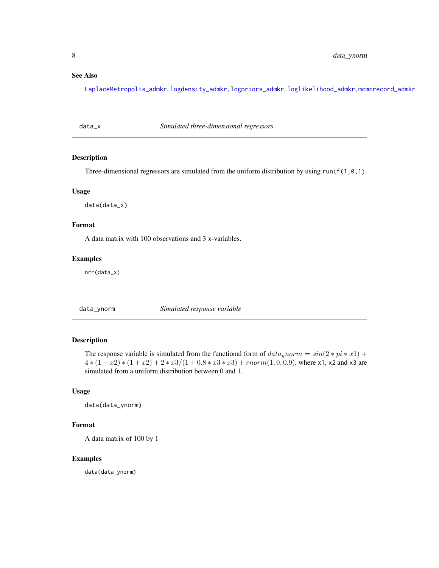# <span id="page-7-0"></span>See Also

[LaplaceMetropolis\\_admkr](#page-12-1), [logdensity\\_admkr](#page-15-1), [logpriors\\_admkr](#page-19-1), [loglikelihood\\_admkr](#page-17-1), [mcmcrecord\\_admkr](#page-21-1)

data\_x *Simulated three-dimensional regressors*

# Description

Three-dimensional regressors are simulated from the uniform distribution by using runif(1,0,1).

#### Usage

data(data\_x)

# Format

A data matrix with 100 observations and 3 x-variables.

#### Examples

nrr(data\_x)

data\_ynorm *Simulated response variable*

# Description

The response variable is simulated from the functional form of  $data<sub>y</sub> norm = sin(2 * pi * x1) +$  $4*(1-x2)*(1+x2)+2*x3/(1+0.8*x3*x3)+rnorm(1,0,0.9)$ , where x1, x2 and x3 are simulated from a uniform distribution between 0 and 1.

# Usage

data(data\_ynorm)

#### Format

A data matrix of 100 by 1

#### Examples

data(data\_ynorm)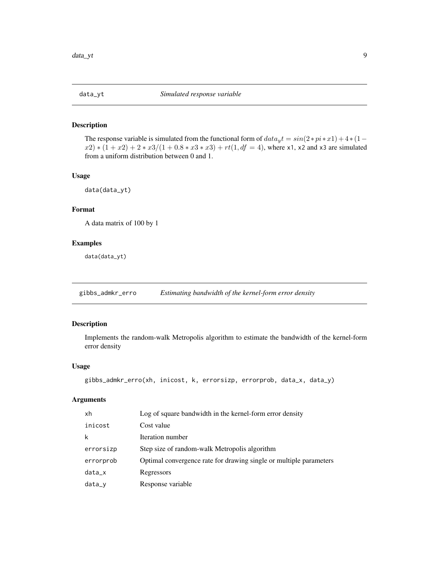<span id="page-8-0"></span>

#### Description

The response variable is simulated from the functional form of  $data_y t = sin(2 * pi * x1) + 4 * (1$  $x(2) * (1 + x2) + 2 * x3/(1 + 0.8 * x3 * x3) + rt(1, df = 4)$ , where x1, x2 and x3 are simulated from a uniform distribution between 0 and 1.

#### Usage

```
data(data_yt)
```
# Format

A data matrix of 100 by 1

#### Examples

data(data\_yt)

<span id="page-8-1"></span>gibbs\_admkr\_erro *Estimating bandwidth of the kernel-form error density*

# Description

Implements the random-walk Metropolis algorithm to estimate the bandwidth of the kernel-form error density

# Usage

```
gibbs_admkr_erro(xh, inicost, k, errorsizp, errorprob, data_x, data_y)
```

| xh        | Log of square bandwidth in the kernel-form error density           |
|-----------|--------------------------------------------------------------------|
| inicost   | Cost value                                                         |
| k         | Iteration number                                                   |
| errorsizp | Step size of random-walk Metropolis algorithm                      |
| errorprob | Optimal convergence rate for drawing single or multiple parameters |
| $data_x$  | Regressors                                                         |
| $data_y$  | Response variable                                                  |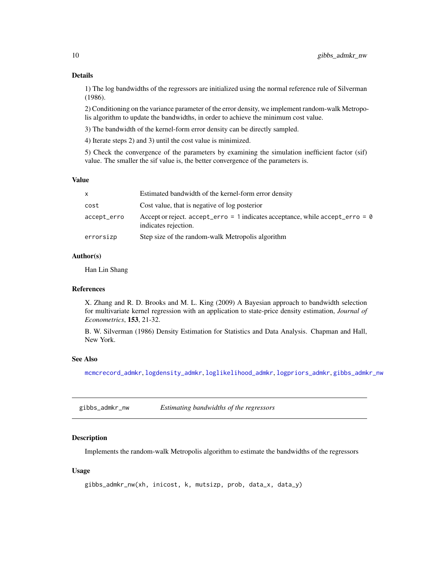#### <span id="page-9-0"></span>Details

1) The log bandwidths of the regressors are initialized using the normal reference rule of Silverman (1986).

2) Conditioning on the variance parameter of the error density, we implement random-walk Metropolis algorithm to update the bandwidths, in order to achieve the minimum cost value.

3) The bandwidth of the kernel-form error density can be directly sampled.

4) Iterate steps 2) and 3) until the cost value is minimized.

5) Check the convergence of the parameters by examining the simulation inefficient factor (sif) value. The smaller the sif value is, the better convergence of the parameters is.

#### Value

| $\mathsf{x}$ | Estimated bandwidth of the kernel-form error density                                                        |
|--------------|-------------------------------------------------------------------------------------------------------------|
| cost         | Cost value, that is negative of log posterior                                                               |
| accept_erro  | Accept or reject. $accept_error = 1$ indicates acceptance, while $accept_error = 0$<br>indicates rejection. |
| errorsizp    | Step size of the random-walk Metropolis algorithm                                                           |

# Author(s)

Han Lin Shang

#### References

X. Zhang and R. D. Brooks and M. L. King (2009) A Bayesian approach to bandwidth selection for multivariate kernel regression with an application to state-price density estimation, *Journal of Econometrics*, 153, 21-32.

B. W. Silverman (1986) Density Estimation for Statistics and Data Analysis. Chapman and Hall, New York.

#### See Also

[mcmcrecord\\_admkr](#page-21-1), [logdensity\\_admkr](#page-15-1), [loglikelihood\\_admkr](#page-17-1), [logpriors\\_admkr](#page-19-1), [gibbs\\_admkr\\_nw](#page-9-1)

<span id="page-9-1"></span>gibbs\_admkr\_nw *Estimating bandwidths of the regressors*

#### Description

Implements the random-walk Metropolis algorithm to estimate the bandwidths of the regressors

#### Usage

```
gibbs_admkr_nw(xh, inicost, k, mutsizp, prob, data_x, data_y)
```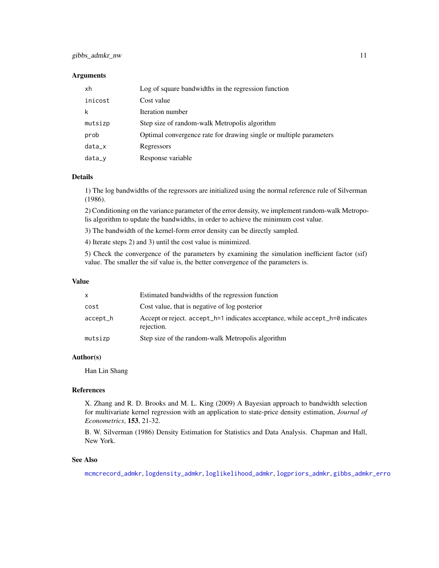# <span id="page-10-0"></span>gibbs\_admkr\_nw 11

#### **Arguments**

| xh       | Log of square bandwidths in the regression function                |
|----------|--------------------------------------------------------------------|
| inicost  | Cost value                                                         |
| k        | Iteration number                                                   |
| mutsizp  | Step size of random-walk Metropolis algorithm                      |
| prob     | Optimal convergence rate for drawing single or multiple parameters |
| $data_x$ | Regressors                                                         |
| $data_y$ | Response variable                                                  |

#### Details

1) The log bandwidths of the regressors are initialized using the normal reference rule of Silverman (1986).

2) Conditioning on the variance parameter of the error density, we implement random-walk Metropolis algorithm to update the bandwidths, in order to achieve the minimum cost value.

3) The bandwidth of the kernel-form error density can be directly sampled.

4) Iterate steps 2) and 3) until the cost value is minimized.

5) Check the convergence of the parameters by examining the simulation inefficient factor (sif) value. The smaller the sif value is, the better convergence of the parameters is.

#### Value

| X        | Estimated bandwidths of the regression function                                             |
|----------|---------------------------------------------------------------------------------------------|
| cost     | Cost value, that is negative of log posterior                                               |
| accept_h | Accept or reject. accept_h=1 indicates acceptance, while accept_h=0 indicates<br>rejection. |
| mutsizp  | Step size of the random-walk Metropolis algorithm                                           |

# Author(s)

Han Lin Shang

#### References

X. Zhang and R. D. Brooks and M. L. King (2009) A Bayesian approach to bandwidth selection for multivariate kernel regression with an application to state-price density estimation, *Journal of Econometrics*, 153, 21-32.

B. W. Silverman (1986) Density Estimation for Statistics and Data Analysis. Chapman and Hall, New York.

#### See Also

[mcmcrecord\\_admkr](#page-21-1), [logdensity\\_admkr](#page-15-1), [loglikelihood\\_admkr](#page-17-1), [logpriors\\_admkr](#page-19-1), [gibbs\\_admkr\\_erro](#page-8-1)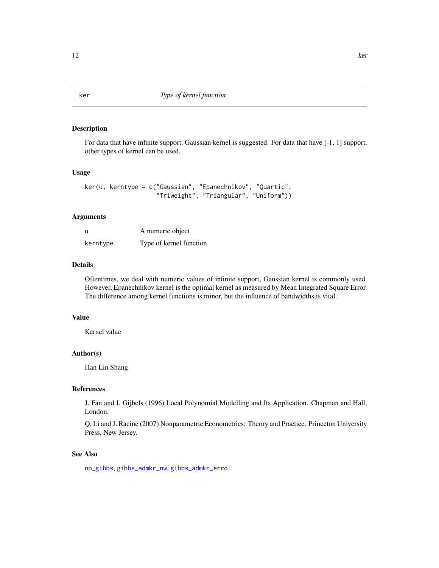#### <span id="page-11-0"></span>Description

For data that have infinite support, Gaussian kernel is suggested. For data that have [-1, 1] support, other types of kernel can be used.

#### Usage

```
ker(u, kerntype = c("Gaussian", "Epanechnikov", "Quartic",
                 "Triweight", "Triangular", "Uniform"))
```
# Arguments

| -u       | A numeric object        |
|----------|-------------------------|
| kerntype | Type of kernel function |

# Details

Oftentimes, we deal with numeric values of infinite support, Gaussian kernel is commonly used. However, Epanechnikov kernel is the optimal kernel as measured by Mean Integrated Square Error. The difference among kernel functions is minor, but the influence of bandwidths is vital.

#### Value

Kernel value

# Author(s)

Han Lin Shang

# References

J. Fan and I. Gijbels (1996) Local Polynomial Modelling and Its Application. Chapman and Hall, London.

Q. Li and J. Racine (2007) Nonparametric Econometrics: Theory and Practice. Princeton University Press, New Jersey.

# See Also

[np\\_gibbs](#page-27-1), [gibbs\\_admkr\\_nw](#page-9-1), [gibbs\\_admkr\\_erro](#page-8-1)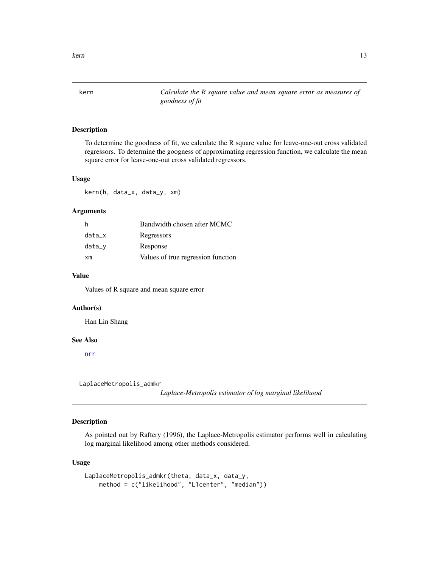<span id="page-12-0"></span>

kern *Calculate the R square value and mean square error as measures of goodness of fit*

# Description

To determine the goodness of fit, we calculate the R square value for leave-one-out cross validated regressors. To determine the googness of approximating regression function, we calculate the mean square error for leave-one-out cross validated regressors.

#### Usage

kern(h, data\_x, data\_y, xm)

#### Arguments

| h      | Bandwidth chosen after MCMC        |
|--------|------------------------------------|
| data_x | Regressors                         |
| data_y | Response                           |
| xm     | Values of true regression function |

# Value

Values of R square and mean square error

#### Author(s)

Han Lin Shang

#### See Also

[nrr](#page-28-1)

<span id="page-12-1"></span>LaplaceMetropolis\_admkr

*Laplace-Metropolis estimator of log marginal likelihood*

# Description

As pointed out by Raftery (1996), the Laplace-Metropolis estimator performs well in calculating log marginal likelihood among other methods considered.

#### Usage

```
LaplaceMetropolis_admkr(theta, data_x, data_y,
 method = c("likelihood", "L1center", "median"))
```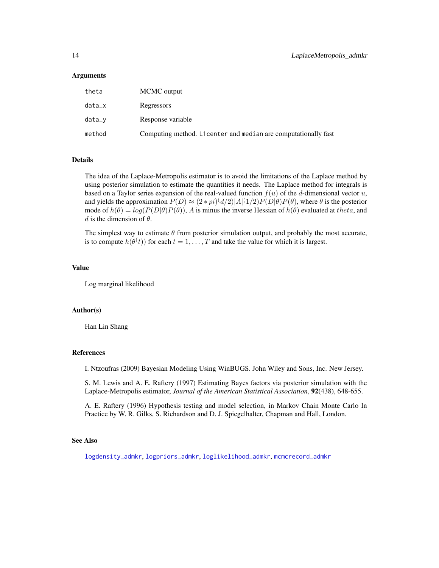#### <span id="page-13-0"></span>Arguments

| theta  | MCMC output                                                     |
|--------|-----------------------------------------------------------------|
| data_x | Regressors                                                      |
| data_v | Response variable                                               |
| method | Computing method. L1 center and median are computationally fast |

#### Details

The idea of the Laplace-Metropolis estimator is to avoid the limitations of the Laplace method by using posterior simulation to estimate the quantities it needs. The Laplace method for integrals is based on a Taylor series expansion of the real-valued function  $f(u)$  of the d-dimensional vector u, and yields the approximation  $P(D) \approx (2 * pi)^{(d/2)} |A|^{(1/2)} P(D|\theta) P(\theta)$ , where  $\theta$  is the posterior mode of  $h(\theta) = log(P(D|\theta)P(\theta))$ , A is minus the inverse Hessian of  $h(\theta)$  evaluated at theta, and d is the dimension of  $\theta$ .

The simplest way to estimate  $\theta$  from posterior simulation output, and probably the most accurate, is to compute  $h(\theta^{(t)})$  for each  $t = 1, ..., T$  and take the value for which it is largest.

#### Value

Log marginal likelihood

#### Author(s)

Han Lin Shang

# References

I. Ntzoufras (2009) Bayesian Modeling Using WinBUGS. John Wiley and Sons, Inc. New Jersey.

S. M. Lewis and A. E. Raftery (1997) Estimating Bayes factors via posterior simulation with the Laplace-Metropolis estimator, *Journal of the American Statistical Association*, 92(438), 648-655.

A. E. Raftery (1996) Hypothesis testing and model selection, in Markov Chain Monte Carlo In Practice by W. R. Gilks, S. Richardson and D. J. Spiegelhalter, Chapman and Hall, London.

#### See Also

[logdensity\\_admkr](#page-15-1), [logpriors\\_admkr](#page-19-1), [loglikelihood\\_admkr](#page-17-1), [mcmcrecord\\_admkr](#page-21-1)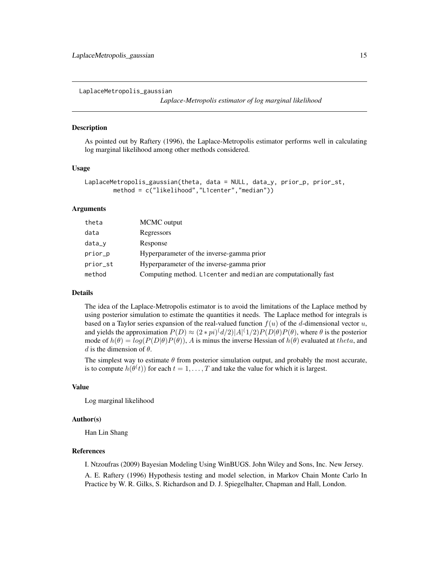<span id="page-14-1"></span><span id="page-14-0"></span>LaplaceMetropolis\_gaussian

```
Laplace-Metropolis estimator of log marginal likelihood
```
#### **Description**

As pointed out by Raftery (1996), the Laplace-Metropolis estimator performs well in calculating log marginal likelihood among other methods considered.

#### Usage

```
LaplaceMetropolis_gaussian(theta, data = NULL, data_y, prior_p, prior_st,
    method = c("likelihood","L1center","median"))
```
### Arguments

| theta    | MCMC output                                                     |
|----------|-----------------------------------------------------------------|
| data     | Regressors                                                      |
| data_y   | Response                                                        |
| prior_p  | Hyperparameter of the inverse-gamma prior                       |
| prior_st | Hyperparameter of the inverse-gamma prior                       |
| method   | Computing method. L1 center and median are computationally fast |

#### Details

The idea of the Laplace-Metropolis estimator is to avoid the limitations of the Laplace method by using posterior simulation to estimate the quantities it needs. The Laplace method for integrals is based on a Taylor series expansion of the real-valued function  $f(u)$  of the d-dimensional vector u, and yields the approximation  $P(D) \approx (2 * pi)(d/2)|A|(1/2)P(D|\theta)P(\theta)$ , where  $\theta$  is the posterior mode of  $h(\theta) = log(P(D|\theta)P(\theta))$ , A is minus the inverse Hessian of  $h(\theta)$  evaluated at theta, and d is the dimension of  $\theta$ .

The simplest way to estimate  $\theta$  from posterior simulation output, and probably the most accurate, is to compute  $h(\theta(t))$  for each  $t = 1, ..., T$  and take the value for which it is largest.

# Value

Log marginal likelihood

#### Author(s)

Han Lin Shang

#### References

I. Ntzoufras (2009) Bayesian Modeling Using WinBUGS. John Wiley and Sons, Inc. New Jersey.

A. E. Raftery (1996) Hypothesis testing and model selection, in Markov Chain Monte Carlo In Practice by W. R. Gilks, S. Richardson and D. J. Spiegelhalter, Chapman and Hall, London.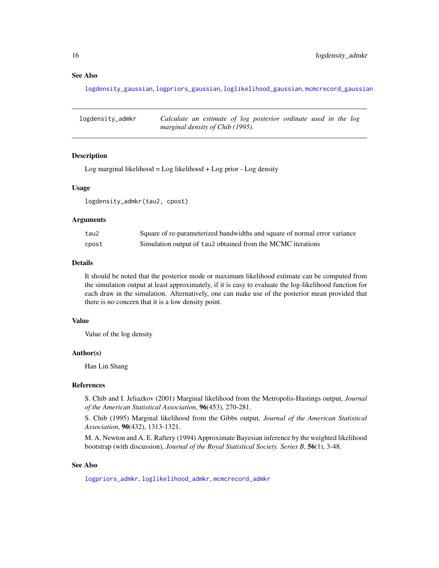# See Also

[logdensity\\_gaussian](#page-16-1), [logpriors\\_gaussian](#page-20-1), [loglikelihood\\_gaussian](#page-18-1), [mcmcrecord\\_gaussian](#page-23-1)

<span id="page-15-1"></span>

| logdensity_admkr | Calculate an estimate of log posterior ordinate used in the log |  |  |  |  |
|------------------|-----------------------------------------------------------------|--|--|--|--|
|                  | marginal density of Chib (1995).                                |  |  |  |  |

#### Description

Log marginal likelihood = Log likelihood + Log prior - Log density

#### Usage

logdensity\_admkr(tau2, cpost)

#### Arguments

| tau2  | Square of re-parameterized bandwidths and square of normal error variance |
|-------|---------------------------------------------------------------------------|
| cpost | Simulation output of tau2 obtained from the MCMC iterations               |

#### Details

It should be noted that the posterior mode or maximum likelihood estimate can be computed from the simulation output at least approximately, if it is easy to evaluate the log-likelihood function for each draw in the simulation. Alternatively, one can make use of the posterior mean provided that there is no concern that it is a low density point.

### Value

Value of the log density

#### Author(s)

Han Lin Shang

#### References

S. Chib and I. Jeliazkov (2001) Marginal likelihood from the Metropolis-Hastings output, *Journal of the American Statistical Association*, 96(453), 270-281.

S. Chib (1995) Marginal likelihood from the Gibbs output, *Journal of the American Statistical Association*, 90(432), 1313-1321.

M. A. Newton and A. E. Raftery (1994) Approximate Bayesian inference by the weighted likelihood bootstrap (with discussion), *Journal of the Royal Statistical Society. Series B*, 56(1), 3-48.

#### See Also

[logpriors\\_admkr](#page-19-1), [loglikelihood\\_admkr](#page-17-1), [mcmcrecord\\_admkr](#page-21-1)

<span id="page-15-0"></span>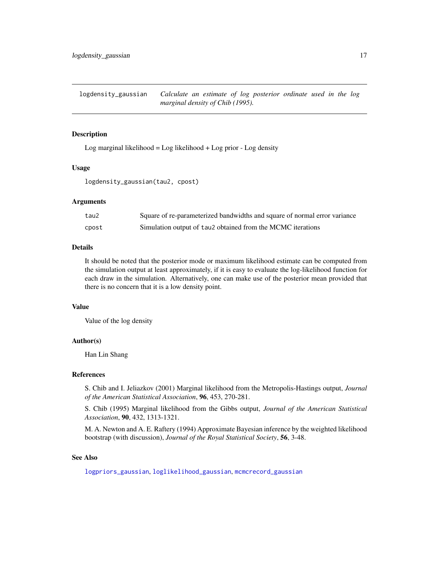<span id="page-16-1"></span><span id="page-16-0"></span>logdensity\_gaussian *Calculate an estimate of log posterior ordinate used in the log marginal density of Chib (1995).*

#### Description

Log marginal likelihood =  $Log$  likelihood +  $Log$  prior -  $Log$  density

#### Usage

logdensity\_gaussian(tau2, cpost)

#### Arguments

| tau2  | Square of re-parameterized bandwidths and square of normal error variance |
|-------|---------------------------------------------------------------------------|
| cpost | Simulation output of tau2 obtained from the MCMC iterations               |

#### Details

It should be noted that the posterior mode or maximum likelihood estimate can be computed from the simulation output at least approximately, if it is easy to evaluate the log-likelihood function for each draw in the simulation. Alternatively, one can make use of the posterior mean provided that there is no concern that it is a low density point.

#### Value

Value of the log density

#### Author(s)

Han Lin Shang

#### References

S. Chib and I. Jeliazkov (2001) Marginal likelihood from the Metropolis-Hastings output, *Journal of the American Statistical Association*, 96, 453, 270-281.

S. Chib (1995) Marginal likelihood from the Gibbs output, *Journal of the American Statistical Association*, 90, 432, 1313-1321.

M. A. Newton and A. E. Raftery (1994) Approximate Bayesian inference by the weighted likelihood bootstrap (with discussion), *Journal of the Royal Statistical Society*, 56, 3-48.

# See Also

[logpriors\\_gaussian](#page-20-1), [loglikelihood\\_gaussian](#page-18-1), [mcmcrecord\\_gaussian](#page-23-1)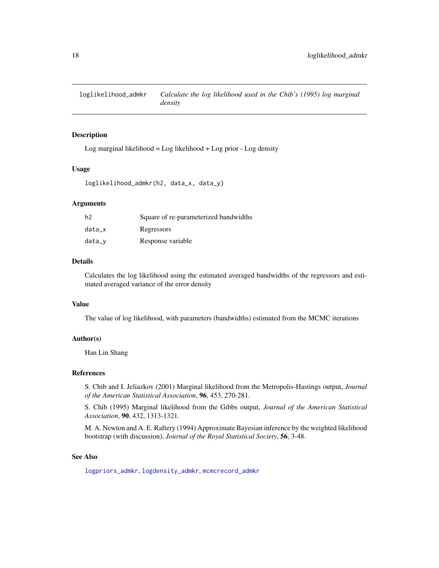<span id="page-17-1"></span><span id="page-17-0"></span>loglikelihood\_admkr *Calculate the log likelihood used in the Chib's (1995) log marginal density*

# Description

Log marginal likelihood =  $Log$  likelihood +  $Log$  prior -  $Log$  density

# Usage

loglikelihood\_admkr(h2, data\_x, data\_y)

#### **Arguments**

| h2     | Square of re-parameterized bandwidths |
|--------|---------------------------------------|
| data x | Regressors                            |
| data_v | Response variable                     |

# Details

Calculates the log likelihood using the estimated averaged bandwidths of the regressors and estimated averaged variance of the error density

# Value

The value of log likelihood, with parameters (bandwidths) estimated from the MCMC iterations

# Author(s)

Han Lin Shang

#### References

S. Chib and I. Jeliazkov (2001) Marginal likelihood from the Metropolis-Hastings output, *Journal of the American Statistical Association*, 96, 453, 270-281.

S. Chib (1995) Marginal likelihood from the Gibbs output, *Journal of the American Statistical Association*, 90, 432, 1313-1321.

M. A. Newton and A. E. Raftery (1994) Approximate Bayesian inference by the weighted likelihood bootstrap (with discussion), *Journal of the Royal Statistical Society*, 56, 3-48.

# See Also

[logpriors\\_admkr](#page-19-1), [logdensity\\_admkr](#page-15-1), [mcmcrecord\\_admkr](#page-21-1)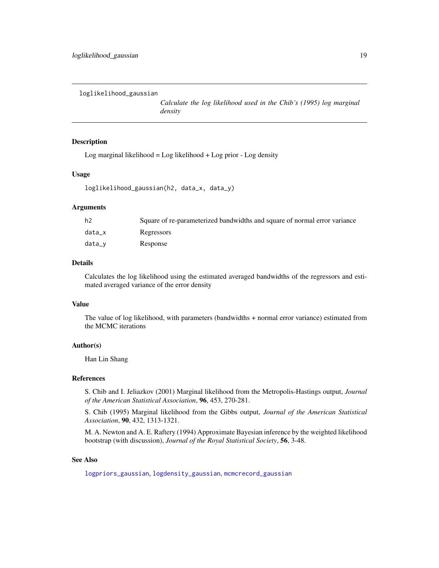<span id="page-18-1"></span><span id="page-18-0"></span>loglikelihood\_gaussian

*Calculate the log likelihood used in the Chib's (1995) log marginal density*

# Description

Log marginal likelihood = Log likelihood + Log prior - Log density

#### Usage

loglikelihood\_gaussian(h2, data\_x, data\_y)

#### **Arguments**

| h2     | Square of re-parameterized bandwidths and square of normal error variance |
|--------|---------------------------------------------------------------------------|
| data x | Regressors                                                                |
| data_v | Response                                                                  |

#### Details

Calculates the log likelihood using the estimated averaged bandwidths of the regressors and estimated averaged variance of the error density

#### Value

The value of log likelihood, with parameters (bandwidths + normal error variance) estimated from the MCMC iterations

#### Author(s)

Han Lin Shang

#### References

S. Chib and I. Jeliazkov (2001) Marginal likelihood from the Metropolis-Hastings output, *Journal of the American Statistical Association*, 96, 453, 270-281.

S. Chib (1995) Marginal likelihood from the Gibbs output, *Journal of the American Statistical Association*, 90, 432, 1313-1321.

M. A. Newton and A. E. Raftery (1994) Approximate Bayesian inference by the weighted likelihood bootstrap (with discussion), *Journal of the Royal Statistical Society*, 56, 3-48.

#### See Also

[logpriors\\_gaussian](#page-20-1), [logdensity\\_gaussian](#page-16-1), [mcmcrecord\\_gaussian](#page-23-1)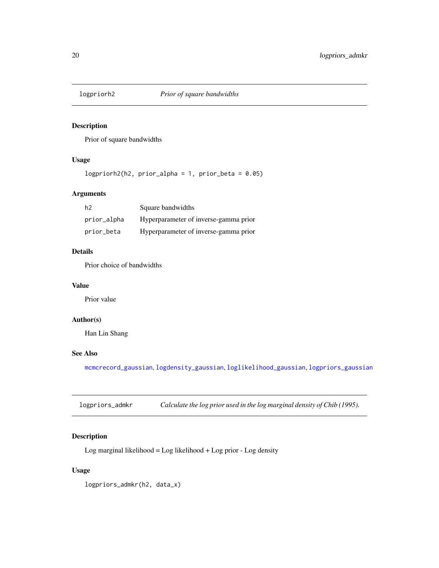<span id="page-19-0"></span>

# Description

Prior of square bandwidths

# Usage

 $logprint2(h2, prior_alpha = 1, prior_beta = 0.05)$ 

# Arguments

| h2          | Square bandwidths                     |
|-------------|---------------------------------------|
| prior_alpha | Hyperparameter of inverse-gamma prior |
| prior_beta  | Hyperparameter of inverse-gamma prior |

# Details

Prior choice of bandwidths

# Value

Prior value

# Author(s)

Han Lin Shang

# See Also

[mcmcrecord\\_gaussian](#page-23-1), [logdensity\\_gaussian](#page-16-1), [loglikelihood\\_gaussian](#page-18-1), [logpriors\\_gaussian](#page-20-1)

<span id="page-19-1"></span>logpriors\_admkr *Calculate the log prior used in the log marginal density of Chib (1995).*

# Description

Log marginal likelihood = Log likelihood + Log prior - Log density

# Usage

logpriors\_admkr(h2, data\_x)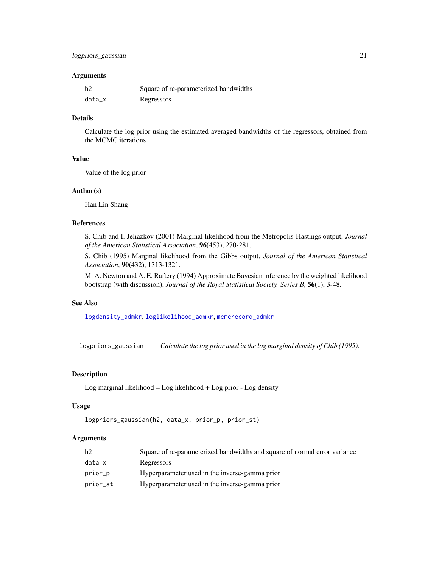#### <span id="page-20-0"></span>**Arguments**

| h2     | Square of re-parameterized bandwidths |
|--------|---------------------------------------|
| data_x | Regressors                            |

# Details

Calculate the log prior using the estimated averaged bandwidths of the regressors, obtained from the MCMC iterations

#### Value

Value of the log prior

#### Author(s)

Han Lin Shang

## References

S. Chib and I. Jeliazkov (2001) Marginal likelihood from the Metropolis-Hastings output, *Journal of the American Statistical Association*, 96(453), 270-281.

S. Chib (1995) Marginal likelihood from the Gibbs output, *Journal of the American Statistical Association*, 90(432), 1313-1321.

M. A. Newton and A. E. Raftery (1994) Approximate Bayesian inference by the weighted likelihood bootstrap (with discussion), *Journal of the Royal Statistical Society. Series B*, 56(1), 3-48.

# See Also

[logdensity\\_admkr](#page-15-1), [loglikelihood\\_admkr](#page-17-1), [mcmcrecord\\_admkr](#page-21-1)

<span id="page-20-1"></span>logpriors\_gaussian *Calculate the log prior used in the log marginal density of Chib (1995).*

### Description

Log marginal likelihood =  $Log$  likelihood +  $Log$  prior -  $Log$  density

#### Usage

```
logpriors_gaussian(h2, data_x, prior_p, prior_st)
```

| h <sub>2</sub> | Square of re-parameterized bandwidths and square of normal error variance |
|----------------|---------------------------------------------------------------------------|
| data_x         | Regressors                                                                |
| prior_p        | Hyperparameter used in the inverse-gamma prior                            |
| prior_st       | Hyperparameter used in the inverse-gamma prior                            |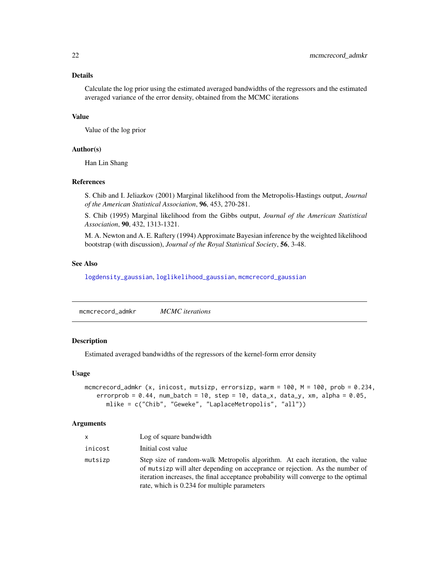# Details

Calculate the log prior using the estimated averaged bandwidths of the regressors and the estimated averaged variance of the error density, obtained from the MCMC iterations

#### Value

Value of the log prior

#### Author(s)

Han Lin Shang

# References

S. Chib and I. Jeliazkov (2001) Marginal likelihood from the Metropolis-Hastings output, *Journal of the American Statistical Association*, 96, 453, 270-281.

S. Chib (1995) Marginal likelihood from the Gibbs output, *Journal of the American Statistical Association*, 90, 432, 1313-1321.

M. A. Newton and A. E. Raftery (1994) Approximate Bayesian inference by the weighted likelihood bootstrap (with discussion), *Journal of the Royal Statistical Society*, 56, 3-48.

#### See Also

[logdensity\\_gaussian](#page-16-1), [loglikelihood\\_gaussian](#page-18-1), [mcmcrecord\\_gaussian](#page-23-1)

<span id="page-21-1"></span>mcmcrecord\_admkr *MCMC iterations*

#### Description

Estimated averaged bandwidths of the regressors of the kernel-form error density

#### Usage

```
mcmcrecord_admkr (x, inicost, mutsizp, errorsizp, warm = 100, M = 100, prob = 0.234,
errorprob = 0.44, num_batch = 10, step = 10, data_x, data_y, xm, alpha = 0.05,
   mlike = c("Chib", "Geweke", "LaplaceMetropolis", "all"))
```

| <b>X</b> | Log of square bandwidth                                                                                                                                                                                                                                                                           |
|----------|---------------------------------------------------------------------------------------------------------------------------------------------------------------------------------------------------------------------------------------------------------------------------------------------------|
| inicost  | Initial cost value                                                                                                                                                                                                                                                                                |
| mutsizp  | Step size of random-walk Metropolis algorithm. At each iteration, the value<br>of mutsizp will alter depending on acceprance or rejection. As the number of<br>iteration increases, the final acceptance probability will converge to the optimal<br>rate, which is 0.234 for multiple parameters |

<span id="page-21-0"></span>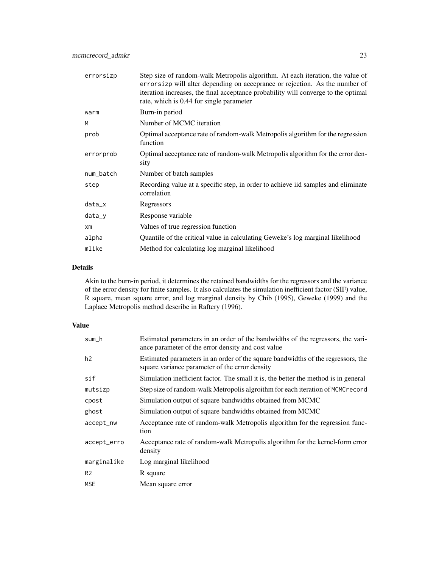| errorsizp | Step size of random-walk Metropolis algorithm. At each iteration, the value of<br>errorsizp will alter depending on acceprance or rejection. As the number of<br>iteration increases, the final acceptance probability will converge to the optimal<br>rate, which is 0.44 for single parameter |
|-----------|-------------------------------------------------------------------------------------------------------------------------------------------------------------------------------------------------------------------------------------------------------------------------------------------------|
| warm      | Burn-in period                                                                                                                                                                                                                                                                                  |
| M         | Number of MCMC iteration                                                                                                                                                                                                                                                                        |
| prob      | Optimal acceptance rate of random-walk Metropolis algorithm for the regression<br>function                                                                                                                                                                                                      |
| errorprob | Optimal acceptance rate of random-walk Metropolis algorithm for the error den-<br>sity                                                                                                                                                                                                          |
| num_batch | Number of batch samples                                                                                                                                                                                                                                                                         |
| step      | Recording value at a specific step, in order to achieve iid samples and eliminate<br>correlation                                                                                                                                                                                                |
| data_x    | Regressors                                                                                                                                                                                                                                                                                      |
| $data_y$  | Response variable                                                                                                                                                                                                                                                                               |
| $x$ m     | Values of true regression function                                                                                                                                                                                                                                                              |
| alpha     | Quantile of the critical value in calculating Geweke's log marginal likelihood                                                                                                                                                                                                                  |
| mlike     | Method for calculating log marginal likelihood                                                                                                                                                                                                                                                  |

#### Details

Akin to the burn-in period, it determines the retained bandwidths for the regressors and the variance of the error density for finite samples. It also calculates the simulation inefficient factor (SIF) value, R square, mean square error, and log marginal density by Chib (1995), Geweke (1999) and the Laplace Metropolis method describe in Raftery (1996).

#### Value

| sum_h          | Estimated parameters in an order of the bandwidths of the regressors, the vari-<br>ance parameter of the error density and cost value |
|----------------|---------------------------------------------------------------------------------------------------------------------------------------|
| h2             | Estimated parameters in an order of the square bandwidths of the regressors, the<br>square variance parameter of the error density    |
| sif            | Simulation inefficient factor. The small it is, the better the method is in general                                                   |
| mutsizp        | Step size of random-walk Metropolis algroithm for each iteration of MCMCrecord                                                        |
| cpost          | Simulation output of square bandwidths obtained from MCMC                                                                             |
| ghost          | Simulation output of square bandwidths obtained from MCMC                                                                             |
| accept_nw      | Acceptance rate of random-walk Metropolis algorithm for the regression func-<br>tion                                                  |
| accept_erro    | Acceptance rate of random-walk Metropolis algorithm for the kernel-form error<br>density                                              |
| marginalike    | Log marginal likelihood                                                                                                               |
| R <sub>2</sub> | R square                                                                                                                              |
| <b>MSE</b>     | Mean square error                                                                                                                     |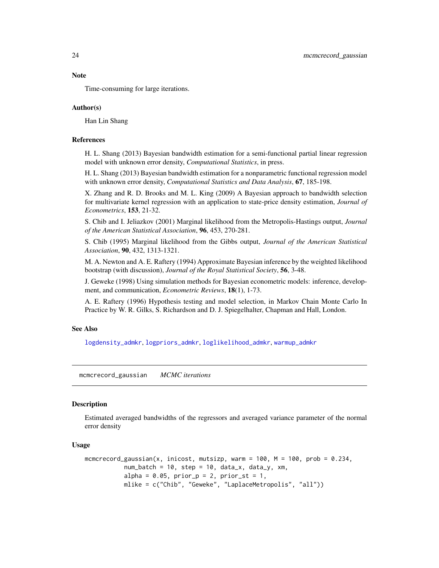Time-consuming for large iterations.

#### Author(s)

Han Lin Shang

#### References

H. L. Shang (2013) Bayesian bandwidth estimation for a semi-functional partial linear regression model with unknown error density, *Computational Statistics*, in press.

H. L. Shang (2013) Bayesian bandwidth estimation for a nonparametric functional regression model with unknown error density, *Computational Statistics and Data Analysis*, 67, 185-198.

X. Zhang and R. D. Brooks and M. L. King (2009) A Bayesian approach to bandwidth selection for multivariate kernel regression with an application to state-price density estimation, *Journal of Econometrics*, 153, 21-32.

S. Chib and I. Jeliazkov (2001) Marginal likelihood from the Metropolis-Hastings output, *Journal of the American Statistical Association*, 96, 453, 270-281.

S. Chib (1995) Marginal likelihood from the Gibbs output, *Journal of the American Statistical Association*, 90, 432, 1313-1321.

M. A. Newton and A. E. Raftery (1994) Approximate Bayesian inference by the weighted likelihood bootstrap (with discussion), *Journal of the Royal Statistical Society*, 56, 3-48.

J. Geweke (1998) Using simulation methods for Bayesian econometric models: inference, development, and communication, *Econometric Reviews*, 18(1), 1-73.

A. E. Raftery (1996) Hypothesis testing and model selection, in Markov Chain Monte Carlo In Practice by W. R. Gilks, S. Richardson and D. J. Spiegelhalter, Chapman and Hall, London.

#### See Also

[logdensity\\_admkr](#page-15-1), [logpriors\\_admkr](#page-19-1), [loglikelihood\\_admkr](#page-17-1), [warmup\\_admkr](#page-29-1)

<span id="page-23-1"></span>mcmcrecord\_gaussian *MCMC iterations*

#### **Description**

Estimated averaged bandwidths of the regressors and averaged variance parameter of the normal error density

#### Usage

```
mcmcrecord_gaussian(x, inicost, mutsizp, warm = 100, M = 100, prob = 0.234,
        num_batch = 10, step = 10, data_x, data_y, xm,
        alpha = 0.05, prior_p = 2, prior_st = 1,
        mlike = c("Chib", "Geweke", "LaplaceMetropolis", "all"))
```
<span id="page-23-0"></span>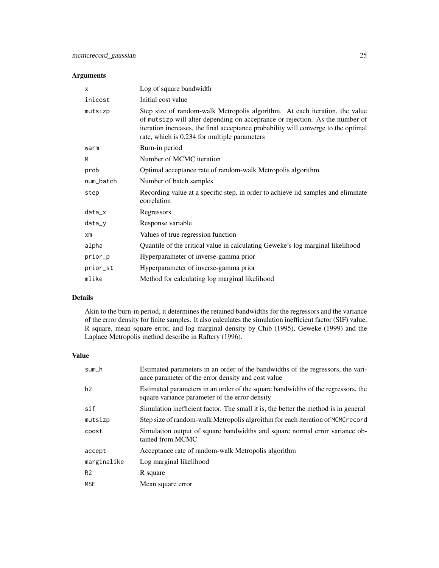# Arguments

| $\boldsymbol{\mathsf{x}}$ | Log of square bandwidth                                                                                                                                                                                                                                                                           |
|---------------------------|---------------------------------------------------------------------------------------------------------------------------------------------------------------------------------------------------------------------------------------------------------------------------------------------------|
| inicost                   | Initial cost value                                                                                                                                                                                                                                                                                |
| mutsizp                   | Step size of random-walk Metropolis algorithm. At each iteration, the value<br>of mutsizp will alter depending on acceprance or rejection. As the number of<br>iteration increases, the final acceptance probability will converge to the optimal<br>rate, which is 0.234 for multiple parameters |
| warm                      | Burn-in period                                                                                                                                                                                                                                                                                    |
| M                         | Number of MCMC iteration                                                                                                                                                                                                                                                                          |
| prob                      | Optimal acceptance rate of random-walk Metropolis algorithm                                                                                                                                                                                                                                       |
| num_batch                 | Number of batch samples                                                                                                                                                                                                                                                                           |
| step                      | Recording value at a specific step, in order to achieve iid samples and eliminate<br>correlation                                                                                                                                                                                                  |
| $data_x$                  | Regressors                                                                                                                                                                                                                                                                                        |
| data_y                    | Response variable                                                                                                                                                                                                                                                                                 |
| $x$ m                     | Values of true regression function                                                                                                                                                                                                                                                                |
| alpha                     | Quantile of the critical value in calculating Geweke's log marginal likelihood                                                                                                                                                                                                                    |
| prior_p                   | Hyperparameter of inverse-gamma prior                                                                                                                                                                                                                                                             |
| prior_st                  | Hyperparameter of inverse-gamma prior                                                                                                                                                                                                                                                             |
| mlike                     | Method for calculating log marginal likelihood                                                                                                                                                                                                                                                    |

# Details

Akin to the burn-in period, it determines the retained bandwidths for the regressors and the variance of the error density for finite samples. It also calculates the simulation inefficient factor (SIF) value, R square, mean square error, and log marginal density by Chib (1995), Geweke (1999) and the Laplace Metropolis method describe in Raftery (1996).

### Value

| sum_h          | Estimated parameters in an order of the bandwidths of the regressors, the vari-<br>ance parameter of the error density and cost value |
|----------------|---------------------------------------------------------------------------------------------------------------------------------------|
| h2             | Estimated parameters in an order of the square bandwidths of the regressors, the<br>square variance parameter of the error density    |
| sif            | Simulation inefficient factor. The small it is, the better the method is in general                                                   |
| mutsizp        | Step size of random-walk Metropolis algroithm for each iteration of MCMCrecord                                                        |
| cpost          | Simulation output of square bandwidths and square normal error variance ob-<br>tained from MCMC                                       |
| accept         | Acceptance rate of random-walk Metropolis algorithm                                                                                   |
| marginalike    | Log marginal likelihood                                                                                                               |
| R <sub>2</sub> | R square                                                                                                                              |
| <b>MSE</b>     | Mean square error                                                                                                                     |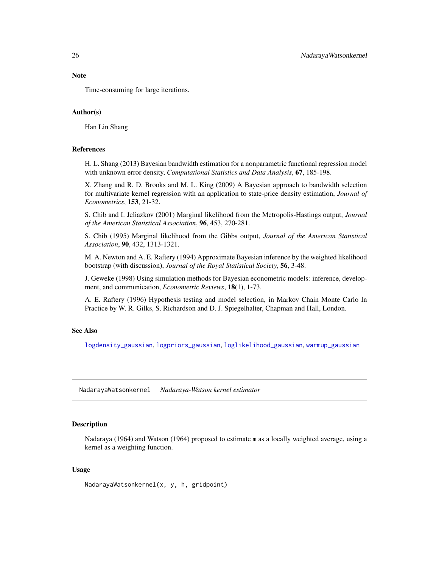<span id="page-25-0"></span>Time-consuming for large iterations.

#### Author(s)

Han Lin Shang

#### References

H. L. Shang (2013) Bayesian bandwidth estimation for a nonparametric functional regression model with unknown error density, *Computational Statistics and Data Analysis*, 67, 185-198.

X. Zhang and R. D. Brooks and M. L. King (2009) A Bayesian approach to bandwidth selection for multivariate kernel regression with an application to state-price density estimation, *Journal of Econometrics*, 153, 21-32.

S. Chib and I. Jeliazkov (2001) Marginal likelihood from the Metropolis-Hastings output, *Journal of the American Statistical Association*, 96, 453, 270-281.

S. Chib (1995) Marginal likelihood from the Gibbs output, *Journal of the American Statistical Association*, 90, 432, 1313-1321.

M. A. Newton and A. E. Raftery (1994) Approximate Bayesian inference by the weighted likelihood bootstrap (with discussion), *Journal of the Royal Statistical Society*, 56, 3-48.

J. Geweke (1998) Using simulation methods for Bayesian econometric models: inference, development, and communication, *Econometric Reviews*, 18(1), 1-73.

A. E. Raftery (1996) Hypothesis testing and model selection, in Markov Chain Monte Carlo In Practice by W. R. Gilks, S. Richardson and D. J. Spiegelhalter, Chapman and Hall, London.

# See Also

[logdensity\\_gaussian](#page-16-1), [logpriors\\_gaussian](#page-20-1), [loglikelihood\\_gaussian](#page-18-1), [warmup\\_gaussian](#page-30-1)

NadarayaWatsonkernel *Nadaraya-Watson kernel estimator*

#### **Description**

Nadaraya (1964) and Watson (1964) proposed to estimate m as a locally weighted average, using a kernel as a weighting function.

#### Usage

NadarayaWatsonkernel(x, y, h, gridpoint)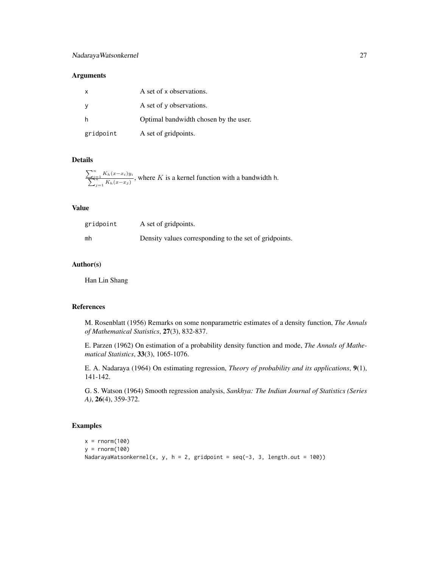# NadarayaWatsonkernel 27

# Arguments

| $\mathsf{x}$ | A set of x observations.              |
|--------------|---------------------------------------|
| <b>y</b>     | A set of y observations.              |
| h            | Optimal bandwidth chosen by the user. |
| gridpoint    | A set of gridpoints.                  |

# Details

$$
\frac{\sum_{i=1}^{n} K_h(x-x_i)y_i}{\sum_{j=1}^{n} K_h(x-x_j)},
$$
 where *K* is a kernel function with a bandwidth h.

#### Value

| gridpoint | A set of gridpoints.                                   |
|-----------|--------------------------------------------------------|
| mh        | Density values corresponding to the set of gridpoints. |

# Author(s)

Han Lin Shang

# References

M. Rosenblatt (1956) Remarks on some nonparametric estimates of a density function, *The Annals of Mathematical Statistics*, 27(3), 832-837.

E. Parzen (1962) On estimation of a probability density function and mode, *The Annals of Mathematical Statistics*, 33(3), 1065-1076.

E. A. Nadaraya (1964) On estimating regression, *Theory of probability and its applications*, 9(1), 141-142.

G. S. Watson (1964) Smooth regression analysis, *Sankhya: The Indian Journal of Statistics (Series A)*, 26(4), 359-372.

# Examples

```
x = rnorm(100)y = rnorm(100)NadarayaWatsonkernel(x, y, h = 2, gridpoint = seq(-3, 3, length.out = 100))
```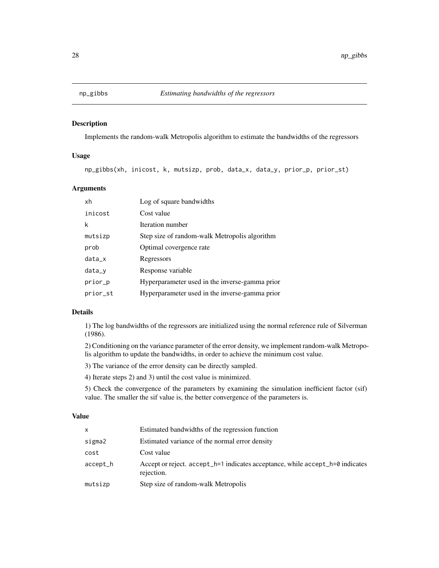<span id="page-27-1"></span><span id="page-27-0"></span>

# Description

Implements the random-walk Metropolis algorithm to estimate the bandwidths of the regressors

#### Usage

np\_gibbs(xh, inicost, k, mutsizp, prob, data\_x, data\_y, prior\_p, prior\_st)

# Arguments

| xh       | Log of square bandwidths                       |
|----------|------------------------------------------------|
| inicost  | Cost value                                     |
| k        | Iteration number                               |
| mutsizp  | Step size of random-walk Metropolis algorithm  |
| prob     | Optimal covergence rate                        |
| $data_x$ | Regressors                                     |
| $data_y$ | Response variable                              |
| prior_p  | Hyperparameter used in the inverse-gamma prior |
| prior_st | Hyperparameter used in the inverse-gamma prior |

## Details

1) The log bandwidths of the regressors are initialized using the normal reference rule of Silverman (1986).

2) Conditioning on the variance parameter of the error density, we implement random-walk Metropolis algorithm to update the bandwidths, in order to achieve the minimum cost value.

3) The variance of the error density can be directly sampled.

4) Iterate steps 2) and 3) until the cost value is minimized.

5) Check the convergence of the parameters by examining the simulation inefficient factor (sif) value. The smaller the sif value is, the better convergence of the parameters is.

#### Value

| x        | Estimated bandwidths of the regression function                                             |
|----------|---------------------------------------------------------------------------------------------|
| sigma2   | Estimated variance of the normal error density                                              |
| cost     | Cost value                                                                                  |
| accept_h | Accept or reject. accept_h=1 indicates acceptance, while accept_h=0 indicates<br>rejection. |
| mutsizp  | Step size of random-walk Metropolis                                                         |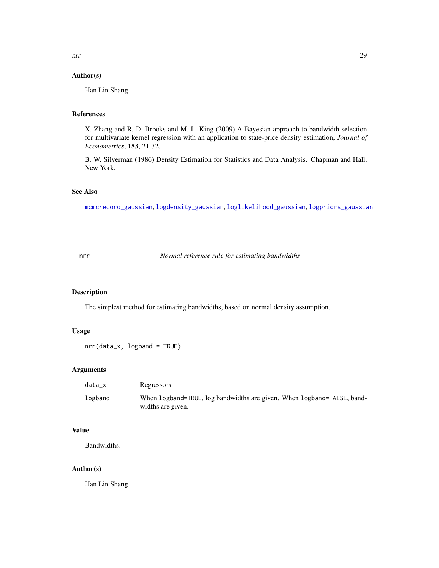# <span id="page-28-0"></span>Author(s)

Han Lin Shang

# References

X. Zhang and R. D. Brooks and M. L. King (2009) A Bayesian approach to bandwidth selection for multivariate kernel regression with an application to state-price density estimation, *Journal of Econometrics*, 153, 21-32.

B. W. Silverman (1986) Density Estimation for Statistics and Data Analysis. Chapman and Hall, New York.

# See Also

[mcmcrecord\\_gaussian](#page-23-1), [logdensity\\_gaussian](#page-16-1), [loglikelihood\\_gaussian](#page-18-1), [logpriors\\_gaussian](#page-20-1)

<span id="page-28-1"></span>nrr *Normal reference rule for estimating bandwidths*

# Description

The simplest method for estimating bandwidths, based on normal density assumption.

# Usage

```
nrr(data_x, logband = TRUE)
```
# Arguments

| data x  | Regressors                                                                                  |  |
|---------|---------------------------------------------------------------------------------------------|--|
| logband | When logband=TRUE, log bandwidths are given. When logband=FALSE, band-<br>widths are given. |  |

# Value

Bandwidths.

# Author(s)

Han Lin Shang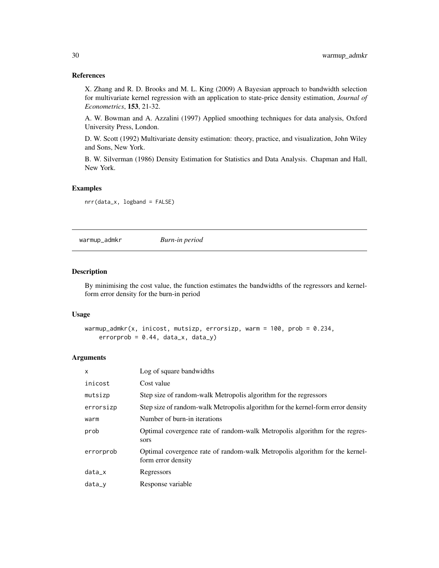# References

X. Zhang and R. D. Brooks and M. L. King (2009) A Bayesian approach to bandwidth selection for multivariate kernel regression with an application to state-price density estimation, *Journal of Econometrics*, 153, 21-32.

A. W. Bowman and A. Azzalini (1997) Applied smoothing techniques for data analysis, Oxford University Press, London.

D. W. Scott (1992) Multivariate density estimation: theory, practice, and visualization, John Wiley and Sons, New York.

B. W. Silverman (1986) Density Estimation for Statistics and Data Analysis. Chapman and Hall, New York.

# Examples

nrr(data\_x, logband = FALSE)

<span id="page-29-1"></span>warmup\_admkr *Burn-in period*

# Description

By minimising the cost value, the function estimates the bandwidths of the regressors and kernelform error density for the burn-in period

#### Usage

```
warmup_admkr(x, inicost, mutsizp, errorsizp, warm = 100, prob = 0.234,
errorprob = 0.44, data_x, data_y)
```

| $\mathsf{x}$ | Log of square bandwidths                                                                          |
|--------------|---------------------------------------------------------------------------------------------------|
| inicost      | Cost value                                                                                        |
| mutsizp      | Step size of random-walk Metropolis algorithm for the regressors                                  |
| errorsizp    | Step size of random-walk Metropolis algorithm for the kernel-form error density                   |
| warm         | Number of burn-in iterations                                                                      |
| prob         | Optimal covergence rate of random-walk Metropolis algorithm for the regres-<br>sors               |
| errorprob    | Optimal covergence rate of random-walk Metropolis algorithm for the kernel-<br>form error density |
| $data_x$     | Regressors                                                                                        |
| $data_v$     | Response variable                                                                                 |

<span id="page-29-0"></span>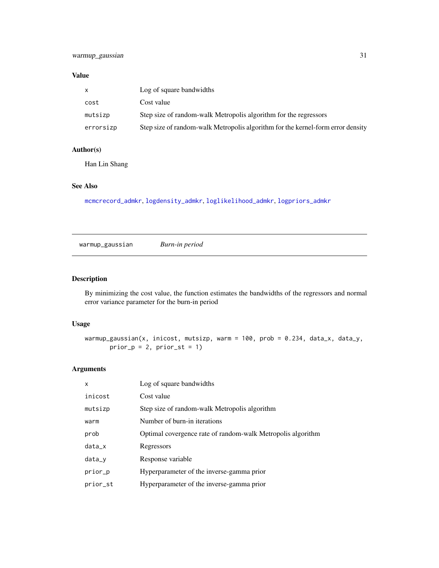# <span id="page-30-0"></span>Value

| X         | Log of square bandwidths                                                        |
|-----------|---------------------------------------------------------------------------------|
| cost      | Cost value                                                                      |
| mutsizp   | Step size of random-walk Metropolis algorithm for the regressors                |
| errorsizp | Step size of random-walk Metropolis algorithm for the kernel-form error density |

# Author(s)

Han Lin Shang

# See Also

[mcmcrecord\\_admkr](#page-21-1), [logdensity\\_admkr](#page-15-1), [loglikelihood\\_admkr](#page-17-1), [logpriors\\_admkr](#page-19-1)

<span id="page-30-1"></span>warmup\_gaussian *Burn-in period*

# Description

By minimizing the cost value, the function estimates the bandwidths of the regressors and normal error variance parameter for the burn-in period

#### Usage

```
warmup_gaussian(x, inicost, mutsizp, warm = 100, prob = 0.234, data_x, data_y,
   prior_p = 2, prior_st = 1)
```

| X        | Log of square bandwidths                                    |
|----------|-------------------------------------------------------------|
| inicost  | Cost value                                                  |
| mutsizp  | Step size of random-walk Metropolis algorithm               |
| warm     | Number of burn-in iterations                                |
| prob     | Optimal covergence rate of random-walk Metropolis algorithm |
| $data_x$ | Regressors                                                  |
| $data_y$ | Response variable                                           |
| prior_p  | Hyperparameter of the inverse-gamma prior                   |
| prior_st | Hyperparameter of the inverse-gamma prior                   |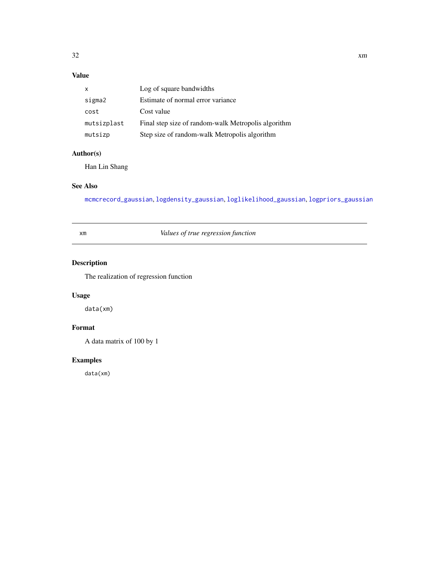# <span id="page-31-0"></span>Value

| X           | Log of square bandwidths                            |
|-------------|-----------------------------------------------------|
| sigma2      | Estimate of normal error variance                   |
| cost        | Cost value                                          |
| mutsizplast | Final step size of random-walk Metropolis algorithm |
| mutsizp     | Step size of random-walk Metropolis algorithm       |

# Author(s)

Han Lin Shang

# See Also

[mcmcrecord\\_gaussian](#page-23-1), [logdensity\\_gaussian](#page-16-1), [loglikelihood\\_gaussian](#page-18-1), [logpriors\\_gaussian](#page-20-1)

xm *Values of true regression function*

# Description

The realization of regression function

# Usage

data(xm)

# Format

A data matrix of 100 by 1

# Examples

data(xm)